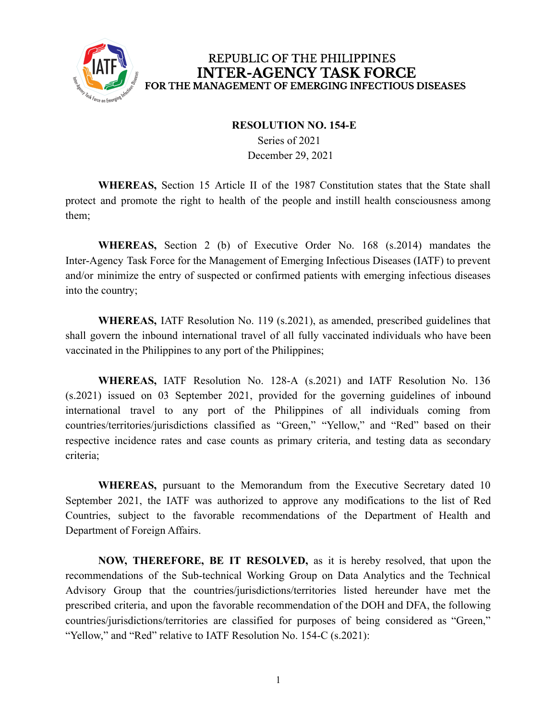

### REPUBLIC OF THE PHILIPPINES **INTER-AGENCY TASK FORCE** FOR THE MANAGEMENT OF EMERGING INFECTIOUS DISEASES

#### **RESOLUTION NO. 154-E**

Series of 2021 December 29, 2021

**WHEREAS,** Section 15 Article II of the 1987 Constitution states that the State shall protect and promote the right to health of the people and instill health consciousness among them;

**WHEREAS,** Section 2 (b) of Executive Order No. 168 (s.2014) mandates the Inter-Agency Task Force for the Management of Emerging Infectious Diseases (IATF) to prevent and/or minimize the entry of suspected or confirmed patients with emerging infectious diseases into the country;

**WHEREAS,** IATF Resolution No. 119 (s.2021), as amended, prescribed guidelines that shall govern the inbound international travel of all fully vaccinated individuals who have been vaccinated in the Philippines to any port of the Philippines;

**WHEREAS,** IATF Resolution No. 128-A (s.2021) and IATF Resolution No. 136 (s.2021) issued on 03 September 2021, provided for the governing guidelines of inbound international travel to any port of the Philippines of all individuals coming from countries/territories/jurisdictions classified as "Green," "Yellow," and "Red" based on their respective incidence rates and case counts as primary criteria, and testing data as secondary criteria;

**WHEREAS,** pursuant to the Memorandum from the Executive Secretary dated 10 September 2021, the IATF was authorized to approve any modifications to the list of Red Countries, subject to the favorable recommendations of the Department of Health and Department of Foreign Affairs.

**NOW, THEREFORE, BE IT RESOLVED,** as it is hereby resolved, that upon the recommendations of the Sub-technical Working Group on Data Analytics and the Technical Advisory Group that the countries/jurisdictions/territories listed hereunder have met the prescribed criteria, and upon the favorable recommendation of the DOH and DFA, the following countries/jurisdictions/territories are classified for purposes of being considered as "Green," "Yellow," and "Red" relative to IATF Resolution No. 154-C (s.2021):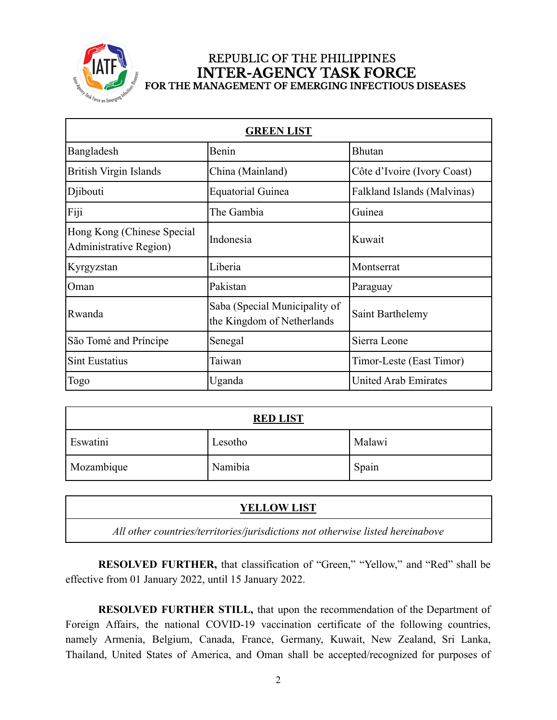

#### REPUBLIC OF THE PHILIPPINES **INTER-AGENCY TASK FORCE** FOR THE MANAGEMENT OF EMERGING INFECTIOUS DISEASES

| <b>GREEN LIST</b>                                    |                                                             |                             |  |  |
|------------------------------------------------------|-------------------------------------------------------------|-----------------------------|--|--|
| Bangladesh                                           | Benin                                                       | <b>Bhutan</b>               |  |  |
| <b>British Virgin Islands</b>                        | China (Mainland)                                            | Côte d'Ivoire (Ivory Coast) |  |  |
| Djibouti                                             | <b>Equatorial Guinea</b>                                    | Falkland Islands (Malvinas) |  |  |
| Fiji                                                 | The Gambia                                                  | Guinea                      |  |  |
| Hong Kong (Chinese Special<br>Administrative Region) | Indonesia                                                   | Kuwait                      |  |  |
| Kyrgyzstan                                           | Liberia                                                     | Montserrat                  |  |  |
| Oman                                                 | Pakistan                                                    | Paraguay                    |  |  |
| Rwanda                                               | Saba (Special Municipality of<br>the Kingdom of Netherlands | Saint Barthelemy            |  |  |
| São Tomé and Príncipe                                | Senegal                                                     | Sierra Leone                |  |  |
| <b>Sint Eustatius</b>                                | Taiwan                                                      | Timor-Leste (East Timor)    |  |  |
| <b>Togo</b>                                          | Uganda                                                      | <b>United Arab Emirates</b> |  |  |

| <b>RED LIST</b> |         |        |  |
|-----------------|---------|--------|--|
| Eswatini        | Lesotho | Malawi |  |
| Mozambique      | Namibia | Spain  |  |

| <b>YELLOW LIST</b>                                                             |  |
|--------------------------------------------------------------------------------|--|
| All other countries/territories/jurisdictions not otherwise listed hereinabove |  |

**RESOLVED FURTHER,** that classification of "Green," "Yellow," and "Red" shall be effective from 01 January 2022, until 15 January 2022.

**RESOLVED FURTHER STILL,** that upon the recommendation of the Department of Foreign Affairs, the national COVID-19 vaccination certificate of the following countries, namely Armenia, Belgium, Canada, France, Germany, Kuwait, New Zealand, Sri Lanka, Thailand, United States of America, and Oman shall be accepted/recognized for purposes of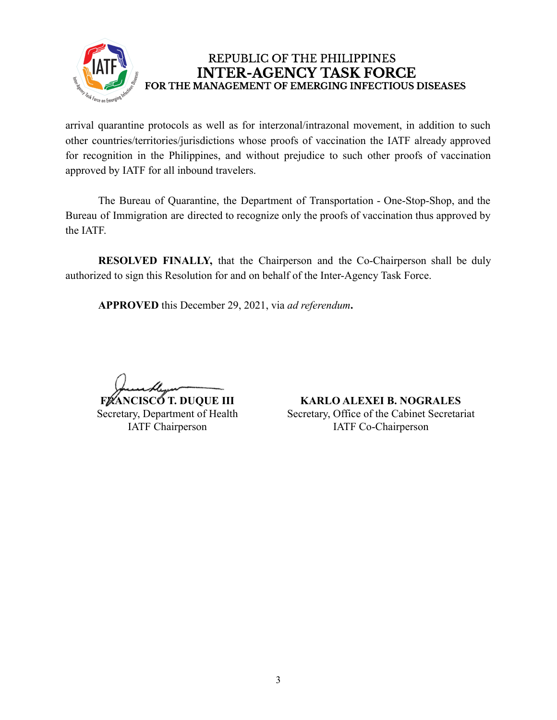

## REPUBLIC OF THE PHILIPPINES **INTER-AGENCY TASK FORCE** FOR THE MANAGEMENT OF EMERGING INFECTIOUS DISEASES

arrival quarantine protocols as well as for interzonal/intrazonal movement, in addition to such other countries/territories/jurisdictions whose proofs of vaccination the IATF already approved for recognition in the Philippines, and without prejudice to such other proofs of vaccination approved by IATF for all inbound travelers.

The Bureau of Quarantine, the Department of Transportation - One-Stop-Shop, and the Bureau of Immigration are directed to recognize only the proofs of vaccination thus approved by the IATF.

**RESOLVED FINALLY,** that the Chairperson and the Co-Chairperson shall be duly authorized to sign this Resolution for and on behalf of the Inter-Agency Task Force.

**APPROVED** this December 29, 2021, via *ad referendum***.**

**FRANCISCO T. DUQUE III** 

Secretary, Department of Health IATF Chairperson

**KARLO ALEXEI B. NOGRALES** Secretary, Office of the Cabinet Secretariat IATF Co-Chairperson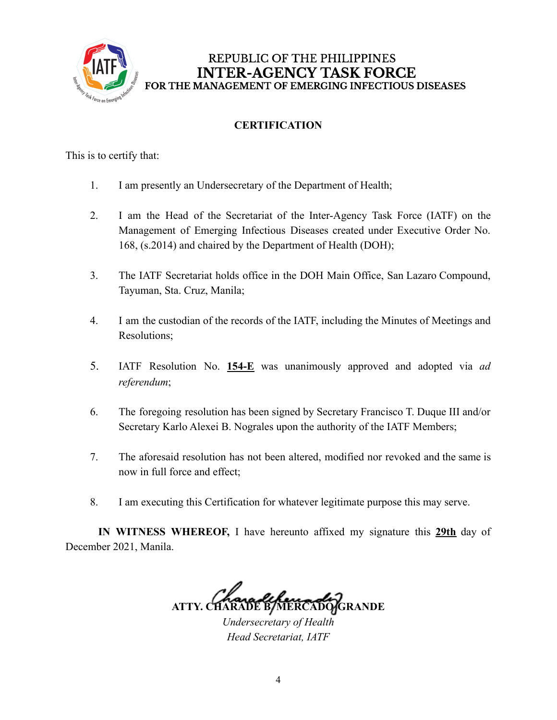

# **CERTIFICATION**

This is to certify that:

- 1. I am presently an Undersecretary of the Department of Health;
- 2. I am the Head of the Secretariat of the Inter-Agency Task Force (IATF) on the Management of Emerging Infectious Diseases created under Executive Order No. 168, (s.2014) and chaired by the Department of Health (DOH);
- 3. The IATF Secretariat holds office in the DOH Main Office, San Lazaro Compound, Tayuman, Sta. Cruz, Manila;
- 4. I am the custodian of the records of the IATF, including the Minutes of Meetings and Resolutions;
- 5. IATF Resolution No. **154-E** was unanimously approved and adopted via *ad referendum*;
- 6. The foregoing resolution has been signed by Secretary Francisco T. Duque III and/or Secretary Karlo Alexei B. Nograles upon the authority of the IATF Members;
- 7. The aforesaid resolution has not been altered, modified nor revoked and the same is now in full force and effect;
- 8. I am executing this Certification for whatever legitimate purpose this may serve.

**IN WITNESS WHEREOF,** I have hereunto affixed my signature this **29th** day of December 2021, Manila.

**ATTY. CHARADE B. MERCADO-GRANDE**

*Undersecretary of Health Head Secretariat, IATF*